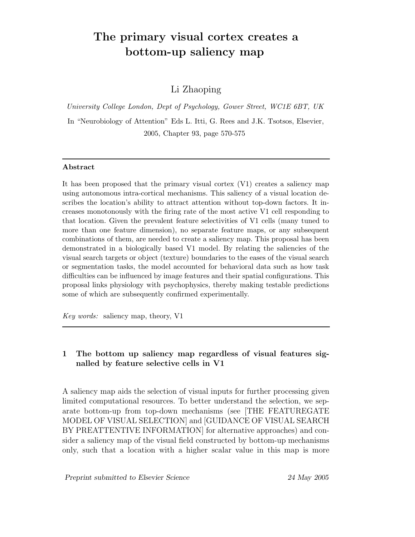# The primary visual cortex creates a bottom-up saliency map

## Li Zhaoping

University College London, Dept of Psychology, Gower Street, WC1E 6BT, UK

In "Neurobiology of Attention" Eds L. Itti, G. Rees and J.K. Tsotsos, Elsevier, 2005, Chapter 93, page 570-575

#### Abstract

It has been proposed that the primary visual cortex (V1) creates a saliency map using autonomous intra-cortical mechanisms. This saliency of a visual location describes the location's ability to attract attention without top-down factors. It increases monotonously with the firing rate of the most active V1 cell responding to that location. Given the prevalent feature selectivities of V1 cells (many tuned to more than one feature dimension), no separate feature maps, or any subsequent combinations of them, are needed to create a saliency map. This proposal has been demonstrated in a biologically based V1 model. By relating the saliencies of the visual search targets or object (texture) boundaries to the eases of the visual search or segmentation tasks, the model accounted for behavioral data such as how task difficulties can be influenced by image features and their spatial configurations. This proposal links physiology with psychophysics, thereby making testable predictions some of which are subsequently confirmed experimentally.

Key words: saliency map, theory, V1

## 1 The bottom up saliency map regardless of visual features signalled by feature selective cells in V1

A saliency map aids the selection of visual inputs for further processing given limited computational resources. To better understand the selection, we separate bottom-up from top-down mechanisms (see [THE FEATUREGATE MODEL OF VISUAL SELECTION] and [GUIDANCE OF VISUAL SEARCH BY PREATTENTIVE INFORMATION] for alternative approaches) and consider a saliency map of the visual field constructed by bottom-up mechanisms only, such that a location with a higher scalar value in this map is more

Preprint submitted to Elsevier Science 24 May 2005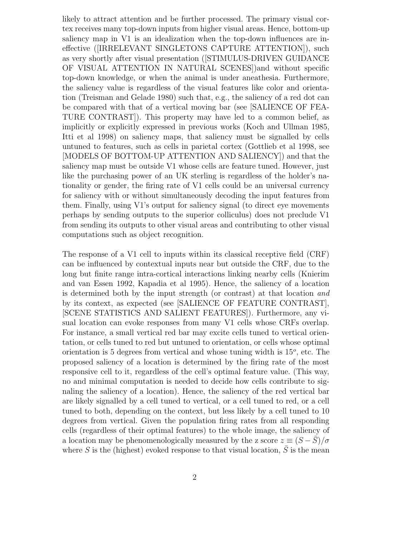likely to attract attention and be further processed. The primary visual cortex receives many top-down inputs from higher visual areas. Hence, bottom-up saliency map in V1 is an idealization when the top-down influences are ineffective ([IRRELEVANT SINGLETONS CAPTURE ATTENTION]), such as very shortly after visual presentation ([STIMULUS-DRIVEN GUIDANCE OF VISUAL ATTENTION IN NATURAL SCENES])and without specific top-down knowledge, or when the animal is under aneathesia. Furthermore, the saliency value is regardless of the visual features like color and orientation (Treisman and Gelade 1980) such that, e.g., the saliency of a red dot can be compared with that of a vertical moving bar (see [SALIENCE OF FEA-TURE CONTRAST]). This property may have led to a common belief, as implicitly or explicitly expressed in previous works (Koch and Ullman 1985, Itti et al 1998) on saliency maps, that saliency must be signalled by cells untuned to features, such as cells in parietal cortex (Gottlieb et al 1998, see [MODELS OF BOTTOM-UP ATTENTION AND SALIENCY]) and that the saliency map must be outside V1 whose cells are feature tuned. However, just like the purchasing power of an UK sterling is regardless of the holder's nationality or gender, the firing rate of V1 cells could be an universal currency for saliency with or without simultaneously decoding the input features from them. Finally, using V1's output for saliency signal (to direct eye movements perhaps by sending outputs to the superior colliculus) does not preclude V1 from sending its outputs to other visual areas and contributing to other visual computations such as object recognition.

The response of a V1 cell to inputs within its classical receptive field (CRF) can be influenced by contextual inputs near but outside the CRF, due to the long but finite range intra-cortical interactions linking nearby cells (Knierim and van Essen 1992, Kapadia et al 1995). Hence, the saliency of a location is determined both by the input strength (or contrast) at that location and by its context, as expected (see [SALIENCE OF FEATURE CONTRAST], [SCENE STATISTICS AND SALIENT FEATURES]). Furthermore, any visual location can evoke responses from many V1 cells whose CRFs overlap. For instance, a small vertical red bar may excite cells tuned to vertical orientation, or cells tuned to red but untuned to orientation, or cells whose optimal orientation is 5 degrees from vertical and whose tuning width is  $15^o$ , etc. The proposed saliency of a location is determined by the firing rate of the most responsive cell to it, regardless of the cell's optimal feature value. (This way, no and minimal computation is needed to decide how cells contribute to signaling the saliency of a location). Hence, the saliency of the red vertical bar are likely signalled by a cell tuned to vertical, or a cell tuned to red, or a cell tuned to both, depending on the context, but less likely by a cell tuned to 10 degrees from vertical. Given the population firing rates from all responding cells (regardless of their optimal features) to the whole image, the saliency of a location may be phenomenologically measured by the z score  $z \equiv (S - \overline{S})/\sigma$ where S is the (highest) evoked response to that visual location,  $\overline{S}$  is the mean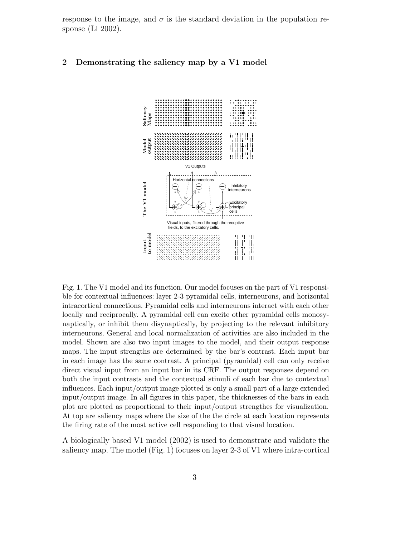response to the image, and  $\sigma$  is the standard deviation in the population response (Li 2002).

#### 2 Demonstrating the saliency map by a V1 model



Fig. 1. The V1 model and its function. Our model focuses on the part of V1 responsible for contextual influences: layer 2-3 pyramidal cells, interneurons, and horizontal intracortical connections. Pyramidal cells and interneurons interact with each other locally and reciprocally. A pyramidal cell can excite other pyramidal cells monosynaptically, or inhibit them disynaptically, by projecting to the relevant inhibitory interneurons. General and local normalization of activities are also included in the model. Shown are also two input images to the model, and their output response maps. The input strengths are determined by the bar's contrast. Each input bar in each image has the same contrast. A principal (pyramidal) cell can only receive direct visual input from an input bar in its CRF. The output responses depend on both the input contrasts and the contextual stimuli of each bar due to contextual influences. Each input/output image plotted is only a small part of a large extended input/output image. In all figures in this paper, the thicknesses of the bars in each plot are plotted as proportional to their input/output strengthes for visualization. At top are saliency maps where the size of the the circle at each location represents the firing rate of the most active cell responding to that visual location.

A biologically based V1 model (2002) is used to demonstrate and validate the saliency map. The model (Fig. 1) focuses on layer 2-3 of V1 where intra-cortical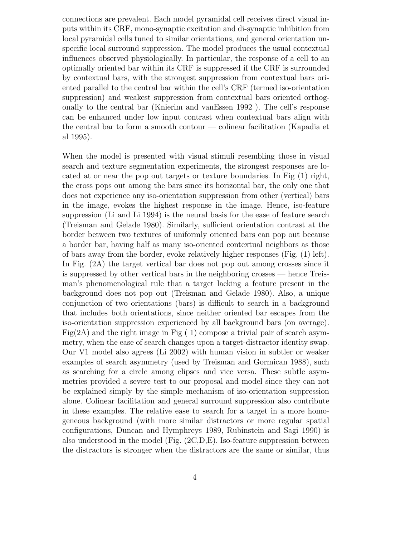connections are prevalent. Each model pyramidal cell receives direct visual inputs within its CRF, mono-synaptic excitation and di-synaptic inhibition from local pyramidal cells tuned to similar orientations, and general orientation unspecific local surround suppression. The model produces the usual contextual influences observed physiologically. In particular, the response of a cell to an optimally oriented bar within its CRF is suppressed if the CRF is surrounded by contextual bars, with the strongest suppression from contextual bars oriented parallel to the central bar within the cell's CRF (termed iso-orientation suppression) and weakest suppression from contextual bars oriented orthogonally to the central bar (Knierim and vanEssen 1992 ). The cell's response can be enhanced under low input contrast when contextual bars align with the central bar to form a smooth contour — colinear facilitation (Kapadia et al 1995).

When the model is presented with visual stimuli resembling those in visual search and texture segmentation experiments, the strongest responses are located at or near the pop out targets or texture boundaries. In Fig  $(1)$  right, the cross pops out among the bars since its horizontal bar, the only one that does not experience any iso-orientation suppression from other (vertical) bars in the image, evokes the highest response in the image. Hence, iso-feature suppression (Li and Li 1994) is the neural basis for the ease of feature search (Treisman and Gelade 1980). Similarly, sufficient orientation contrast at the border between two textures of uniformly oriented bars can pop out because a border bar, having half as many iso-oriented contextual neighbors as those of bars away from the border, evoke relatively higher responses (Fig. (1) left). In Fig. (2A) the target vertical bar does not pop out among crosses since it is suppressed by other vertical bars in the neighboring crosses — hence Treisman's phenomenological rule that a target lacking a feature present in the background does not pop out (Treisman and Gelade 1980). Also, a unique conjunction of two orientations (bars) is difficult to search in a background that includes both orientations, since neither oriented bar escapes from the iso-orientation suppression experienced by all background bars (on average). Fig(2A) and the right image in Fig  $(1)$  compose a trivial pair of search asymmetry, when the ease of search changes upon a target-distractor identity swap. Our V1 model also agrees (Li 2002) with human vision in subtler or weaker examples of search asymmetry (used by Treisman and Gormican 1988), such as searching for a circle among elipses and vice versa. These subtle asymmetries provided a severe test to our proposal and model since they can not be explained simply by the simple mechanism of iso-orientation suppression alone. Colinear facilitation and general surround suppression also contribute in these examples. The relative ease to search for a target in a more homogeneous background (with more similar distractors or more regular spatial configurations, Duncan and Hymphreys 1989, Rubinstein and Sagi 1990) is also understood in the model (Fig.  $(2C,D,E)$ ). Iso-feature suppression between the distractors is stronger when the distractors are the same or similar, thus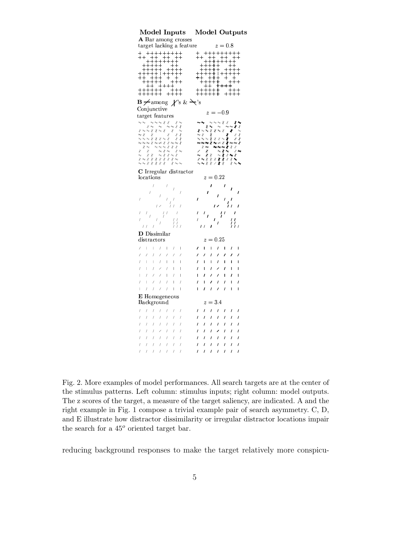| Model Inputs                                                                                                                                                                                         | <b>Model Outputs</b>                                                                               |  |
|------------------------------------------------------------------------------------------------------------------------------------------------------------------------------------------------------|----------------------------------------------------------------------------------------------------|--|
| A Bar among crosses                                                                                                                                                                                  |                                                                                                    |  |
| target lacking a feature                                                                                                                                                                             | $z=0.8$                                                                                            |  |
| $-+++++$                                                                                                                                                                                             | $\mathbf +$                                                                                        |  |
|                                                                                                                                                                                                      |                                                                                                    |  |
|                                                                                                                                                                                                      |                                                                                                    |  |
|                                                                                                                                                                                                      |                                                                                                    |  |
|                                                                                                                                                                                                      |                                                                                                    |  |
| -+++                                                                                                                                                                                                 |                                                                                                    |  |
| $\mathbf{B} \neq \text{among}$ $\neq$ 's & $\neq$ 's                                                                                                                                                 |                                                                                                    |  |
| Conjunctive                                                                                                                                                                                          | $z = -0.9$                                                                                         |  |
| target features                                                                                                                                                                                      |                                                                                                    |  |
| ナナナイト<br>オミ                                                                                                                                                                                          | :∼∤∤                                                                                               |  |
|                                                                                                                                                                                                      |                                                                                                    |  |
|                                                                                                                                                                                                      |                                                                                                    |  |
|                                                                                                                                                                                                      |                                                                                                    |  |
|                                                                                                                                                                                                      |                                                                                                    |  |
| ← $\star$ オ オ オ オ                                                                                                                                                                                    |                                                                                                    |  |
| C Irregular distractor                                                                                                                                                                               |                                                                                                    |  |
| locations                                                                                                                                                                                            | $z = 0.22$                                                                                         |  |
| 1                                                                                                                                                                                                    |                                                                                                    |  |
|                                                                                                                                                                                                      |                                                                                                    |  |
|                                                                                                                                                                                                      |                                                                                                    |  |
|                                                                                                                                                                                                      |                                                                                                    |  |
|                                                                                                                                                                                                      |                                                                                                    |  |
|                                                                                                                                                                                                      |                                                                                                    |  |
| <b>D</b> Dissimilar                                                                                                                                                                                  |                                                                                                    |  |
| distractors                                                                                                                                                                                          | $z = 0.25$                                                                                         |  |
| $\boldsymbol{l}$<br>$\mathbb{L}$<br>$\mathbf{I}$<br>L<br>$\mathsf{l}$                                                                                                                                | $\prime$<br>I<br>I.<br>$\overline{\phantom{a}}$<br>ı<br>$\prime$                                   |  |
| 7<br>$\prime$<br>7.<br>1<br>7<br>7                                                                                                                                                                   | 1<br>1<br>$\prime$<br>1<br>ı<br>t.                                                                 |  |
| $\prime$<br>I<br>$\mathbb{R}$<br>Τ.<br>$\mathbf{L}$<br>$\mathbf{1}$<br>$\overline{\phantom{a}}$<br>$\prime$<br>$\mathbb{L}$<br>$\prime$<br>$\mathcal{L}$<br>$\prime$<br>$\mathbf{1}$<br>$\mathbf{I}$ | I<br>$\prime$<br>L<br>ı<br>L<br>ı<br>ı<br>$\prime$<br>ı<br>$\prime$<br>I<br>L<br>∕<br>$\mathbf{I}$ |  |
| $\prime$<br>$\mathbb T$<br>$\sqrt{ }$<br>$\mathsf{I}$<br>$\sqrt{ }$<br>$\sqrt{2}$<br>$\overline{1}$                                                                                                  | I<br>7<br>ı<br>ı<br>I<br>ı<br>I                                                                    |  |
| $\boldsymbol{I}$<br>$\prime$<br>$\begin{array}{c} \hline \end{array}$<br>1<br>L<br>$\prime$<br>I                                                                                                     | $\prime$<br>ı<br>I<br>I<br>I<br>I                                                                  |  |
| $1 - 1$<br>$\begin{array}{c} \hline \end{array}$<br>$\sqrt{ }$<br>$\prime$<br>$\sqrt{2}$<br>$\overline{1}$                                                                                           | $\prime$<br>$\overline{I}$<br>$\mathbf{I}$<br>I<br>ı<br>$\prime$<br>I                              |  |
| E Homogeneous                                                                                                                                                                                        |                                                                                                    |  |
| Background                                                                                                                                                                                           | $z = 3.4$                                                                                          |  |
| $\boldsymbol{I}$<br>$\sqrt{ }$<br>$\prime$<br>$\boldsymbol{l}$<br>$\prime$<br>$\boldsymbol{l}$<br>I                                                                                                  | $\prime$<br>$\overline{I}$<br>$\prime$<br>$\prime$<br>I<br>ı<br>$\prime$                           |  |
| I<br>1<br>1<br>$\prime$<br>1<br>1                                                                                                                                                                    | $\prime$<br>ı<br>ı<br>ı<br>ı<br>ı                                                                  |  |
| $\sqrt{2}$<br>$\prime$<br>$\prime$<br>$\mathcal{L}$<br>$\mathcal{L}$<br>I<br>$\boldsymbol{l}$<br>1<br>I<br>I<br>∕<br>I                                                                               | $\prime$<br>ı<br>$\prime$<br>$\prime$<br>$\prime$<br>ı<br>ı<br>I<br>I<br>I<br>ı<br>ı<br>ı<br>∕     |  |
| $\prime$<br>1<br>T<br>L<br>I                                                                                                                                                                         | ı<br>ı<br>ı<br>I<br>ı<br>ı                                                                         |  |
| $\cal I$<br>$\sqrt{2}$<br>$\sqrt{2}$<br>1<br>$\sqrt{ }$<br>I                                                                                                                                         | I<br>I<br>ı<br>I<br>I<br>ı                                                                         |  |
| $\cal I$<br>$\cal I$<br>$\prime$<br>$\overline{I}$<br>Í<br>$\prime$<br>$\prime$                                                                                                                      | $\prime$<br>$\prime$<br>$\prime$<br>$\overline{I}$<br>$\prime$<br>I                                |  |

Fig. 2. More examples of model performances. All search targets are at the center of the stimulus patterns. Left column: stimulus inputs; right column: model outputs. The z scores of the target, a measure of the target saliency, are indicated. A and the right example in Fig. 1 compose a trivial example pair of search asymmetry. C, D, and E illustrate how distractor dissimilarity or irregular distractor locations impair the search for a  $45^{\circ}$  oriented target bar.

reducing background responses to make the target relatively more conspicu-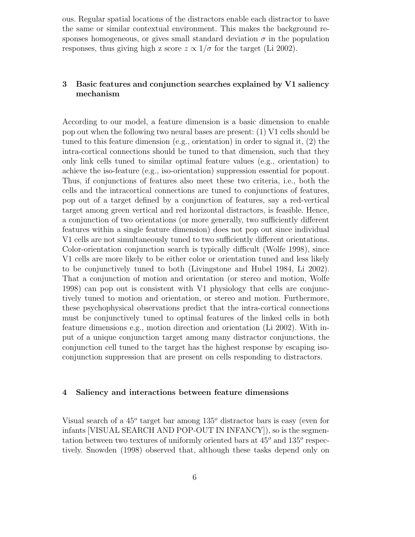ous. Regular spatial locations of the distractors enable each distractor to have the same or similar contextual environment. This makes the background responses homogeneous, or gives small standard deviation  $\sigma$  in the population responses, thus giving high z score  $z \propto 1/\sigma$  for the target (Li 2002).

## 3 Basic features and conjunction searches explained by V1 saliency mechanism

According to our model, a feature dimension is a basic dimension to enable pop out when the following two neural bases are present: (1) V1 cells should be tuned to this feature dimension (e.g., orientation) in order to signal it, (2) the intra-cortical connections should be tuned to that dimension, such that they only link cells tuned to similar optimal feature values (e.g., orientation) to achieve the iso-feature (e.g., iso-orientation) suppression essential for popout. Thus, if conjunctions of features also meet these two criteria, i.e., both the cells and the intracortical connections are tuned to conjunctions of features, pop out of a target defined by a conjunction of features, say a red-vertical target among green vertical and red horizontal distractors, is feasible. Hence, a conjunction of two orientations (or more generally, two sufficiently different features within a single feature dimension) does not pop out since individual V1 cells are not simultaneously tuned to two sufficiently different orientations. Color-orientation conjunction search is typically difficult (Wolfe 1998), since V1 cells are more likely to be either color or orientation tuned and less likely to be conjunctively tuned to both (Livingstone and Hubel 1984, Li 2002). That a conjunction of motion and orientation (or stereo and motion, Wolfe 1998) can pop out is consistent with V1 physiology that cells are conjunctively tuned to motion and orientation, or stereo and motion. Furthermore, these psychophysical observations predict that the intra-cortical connections must be conjunctively tuned to optimal features of the linked cells in both feature dimensions e.g., motion direction and orientation (Li 2002). With input of a unique conjunction target among many distractor conjunctions, the conjunction cell tuned to the target has the highest response by escaping isoconjunction suppression that are present on cells responding to distractors.

#### 4 Saliency and interactions between feature dimensions

Visual search of a  $45^{\circ}$  target bar among  $135^{\circ}$  distractor bars is easy (even for infants [VISUAL SEARCH AND POP-OUT IN INFANCY]), so is the segmentation between two textures of uniformly oriented bars at  $45^{\circ}$  and  $135^{\circ}$  respectively. Snowden (1998) observed that, although these tasks depend only on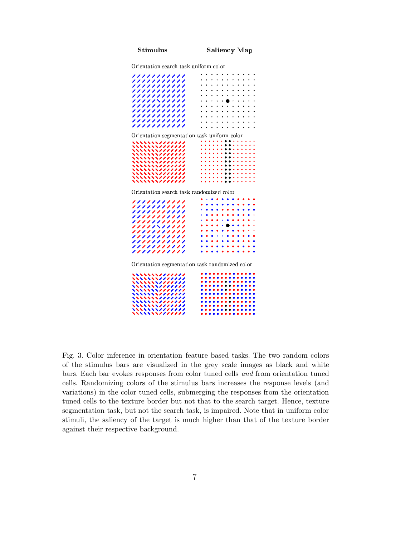- - -

Orientation search task uniform color

| ,,,,,,,,,,,                                          |  |
|------------------------------------------------------|--|
| ,,,,,,,,,,,                                          |  |
| ,,,,,,,,,,,                                          |  |
| ,,,,,,,,,,,                                          |  |
| ,,,,,,,,,,,                                          |  |
| ///////////                                          |  |
| ,,,,,,,,,,,                                          |  |
|                                                      |  |
| ,,,,,,,,,,,                                          |  |
| ,,,,,,,,,,,                                          |  |
| ,,,,,,,,,,,                                          |  |
| ,,,,,,,,,,,                                          |  |
|                                                      |  |
| Orientation segmentation task uniform color          |  |
| ヽヽヽヽヽヽヽヽノノノノノノ                                       |  |
| ヽヽヽヽヽヽヽヽノノノノノノ                                       |  |
| <b>ヽヽヽヽヽヽヽヽノノノノノノ</b>                                |  |
| <b>ヽヽヽヽヽヽヽヽノノノノノノ</b>                                |  |
| \\\\\\\\ <i>\\\\</i>                                 |  |
| \\\\\\\\ <i>\\\\\\\\\</i><br>\\\\\\\\ <i>\/\\\\\</i> |  |
| ,,,,,,,,                                             |  |
| <b>ヽヽヽヽヽヽヽヽノノノノノノ</b>                                |  |
| \\\\\\\\ <i>\\\\</i>                                 |  |
| \\\\\\\\ <i>\IIIIII</i>                              |  |
| Orientation search task randomized color             |  |
| ,,,,,,,,,,,                                          |  |
| ,,,,,,,,,,,                                          |  |
| ,,,,,,,,,,,                                          |  |
| ,,,,,,,,,,,                                          |  |
| ,,,,,,,,,,,                                          |  |
| 11111\11111                                          |  |
| ,,,,,,,,,,,                                          |  |
| ,,,,,,,,,,,                                          |  |
| ,,,,,,,,,,,                                          |  |
| ,,,,,,,,,,,                                          |  |
| ,,,,,,,,,,,                                          |  |
|                                                      |  |
| Orientation segmentation task randomized color       |  |
|                                                      |  |
| \\\\\\\\ <i>IIIIIII</i>                              |  |
| \\\\\\\\ <i>\\\\\\\\\\\</i>                          |  |
| \\\\\\\\ <i>\IIIIII</i>                              |  |
| ,,,,,,,,                                             |  |
| <b>、、、、、、、、</b>                                      |  |
|                                                      |  |
| ,,,,,,,                                              |  |
| <b>、、、、、、、、</b>                                      |  |
| \\\\\\\\ <i>\\\\\\\\</i><br><b>ヽヽヽヽヽヽヽヽノノ</b>        |  |
|                                                      |  |

Fig. 3. Color inference in orientation feature based tasks. The two random colors of the stimulus bars are visualized in the grey scale images as black and white bars. Each bar evokes responses from color tuned cells and from orientation tuned cells. Randomizing colors of the stimulus bars increases the response levels (and variations) in the color tuned cells, submerging the responses from the orientation tuned cells to the texture border but not that to the search target. Hence, texture segmentation task, but not the search task, is impaired. Note that in uniform color stimuli, the saliency of the target is much higher than that of the texture border against their respective background.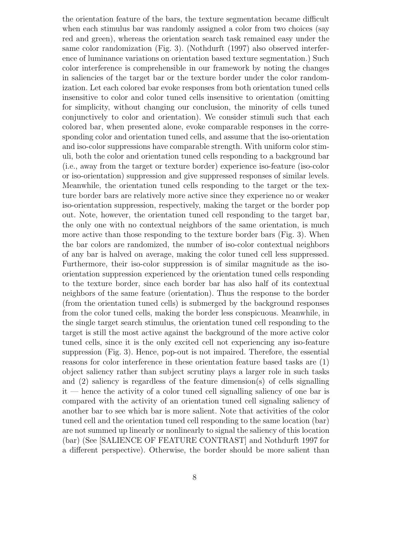the orientation feature of the bars, the texture segmentation became difficult when each stimulus bar was randomly assigned a color from two choices (say red and green), whereas the orientation search task remained easy under the same color randomization (Fig. 3). (Nothdurft (1997) also observed interference of luminance variations on orientation based texture segmentation.) Such color interference is comprehensible in our framework by noting the changes in saliencies of the target bar or the texture border under the color randomization. Let each colored bar evoke responses from both orientation tuned cells insensitive to color and color tuned cells insensitive to orientation (omitting for simplicity, without changing our conclusion, the minority of cells tuned conjunctively to color and orientation). We consider stimuli such that each colored bar, when presented alone, evoke comparable responses in the corresponding color and orientation tuned cells, and assume that the iso-orientation and iso-color suppressions have comparable strength. With uniform color stimuli, both the color and orientation tuned cells responding to a background bar (i.e., away from the target or texture border) experience iso-feature (iso-color or iso-orientation) suppression and give suppressed responses of similar levels. Meanwhile, the orientation tuned cells responding to the target or the texture border bars are relatively more active since they experience no or weaker iso-orientation suppression, respectively, making the target or the border pop out. Note, however, the orientation tuned cell responding to the target bar, the only one with no contextual neighbors of the same orientation, is much more active than those responding to the texture border bars (Fig. 3). When the bar colors are randomized, the number of iso-color contextual neighbors of any bar is halved on average, making the color tuned cell less suppressed. Furthermore, their iso-color suppression is of similar magnitude as the isoorientation suppression experienced by the orientation tuned cells responding to the texture border, since each border bar has also half of its contextual neighbors of the same feature (orientation). Thus the response to the border (from the orientation tuned cells) is submerged by the background responses from the color tuned cells, making the border less conspicuous. Meanwhile, in the single target search stimulus, the orientation tuned cell responding to the target is still the most active against the background of the more active color tuned cells, since it is the only excited cell not experiencing any iso-feature suppression (Fig. 3). Hence, pop-out is not impaired. Therefore, the essential reasons for color interference in these orientation feature based tasks are (1) object saliency rather than subject scrutiny plays a larger role in such tasks and (2) saliency is regardless of the feature dimension(s) of cells signalling it — hence the activity of a color tuned cell signalling saliency of one bar is compared with the activity of an orientation tuned cell signaling saliency of another bar to see which bar is more salient. Note that activities of the color tuned cell and the orientation tuned cell responding to the same location (bar) are not summed up linearly or nonlinearly to signal the saliency of this location (bar) (See [SALIENCE OF FEATURE CONTRAST] and Nothdurft 1997 for a different perspective). Otherwise, the border should be more salient than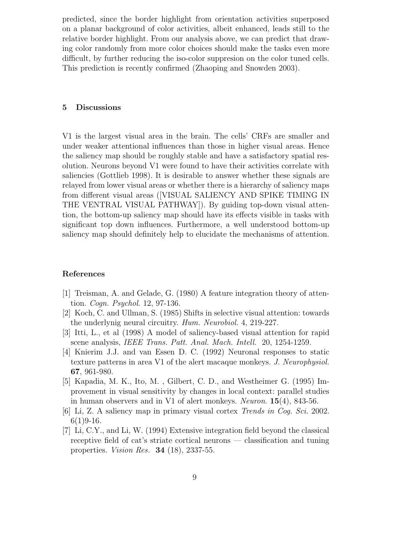predicted, since the border highlight from orientation activities superposed on a planar background of color activities, albeit enhanced, leads still to the relative border highlight. From our analysis above, we can predict that drawing color randomly from more color choices should make the tasks even more difficult, by further reducing the iso-color suppresion on the color tuned cells. This prediction is recently confirmed (Zhaoping and Snowden 2003).

### 5 Discussions

V1 is the largest visual area in the brain. The cells' CRFs are smaller and under weaker attentional influences than those in higher visual areas. Hence the saliency map should be roughly stable and have a satisfactory spatial resolution. Neurons beyond V1 were found to have their activities correlate with saliencies (Gottlieb 1998). It is desirable to answer whether these signals are relayed from lower visual areas or whether there is a hierarchy of saliency maps from different visual areas ([VISUAL SALIENCY AND SPIKE TIMING IN THE VENTRAL VISUAL PATHWAY]). By guiding top-down visual attention, the bottom-up saliency map should have its effects visible in tasks with significant top down influences. Furthermore, a well understood bottom-up saliency map should definitely help to elucidate the mechanisms of attention.

#### References

- [1] Treisman, A. and Gelade, G. (1980) A feature integration theory of attention. Cogn. Psychol. 12, 97-136.
- [2] Koch, C. and Ullman, S. (1985) Shifts in selective visual attention: towards the underlynig neural circuitry. Hum. Neurobiol. 4, 219-227.
- [3] Itti, L., et al (1998) A model of saliency-based visual attention for rapid scene analysis, *IEEE Trans. Patt. Anal. Mach. Intell.* 20, 1254-1259.
- [4] Knierim J.J. and van Essen D. C. (1992) Neuronal responses to static texture patterns in area V1 of the alert macaque monkeys. J. Neurophysiol. 67, 961-980.
- [5] Kapadia, M. K., Ito, M. , Gilbert, C. D., and Westheimer G. (1995) Improvement in visual sensitivity by changes in local context: parallel studies in human observers and in V1 of alert monkeys. Neuron.  $15(4)$ , 843-56.
- [6] Li, Z. A saliency map in primary visual cortex Trends in Cog. Sci. 2002.  $6(1)9-16.$
- [7] Li, C.Y., and Li, W. (1994) Extensive integration field beyond the classical receptive field of cat's striate cortical neurons — classification and tuning properties. Vision Res. 34 (18), 2337-55.